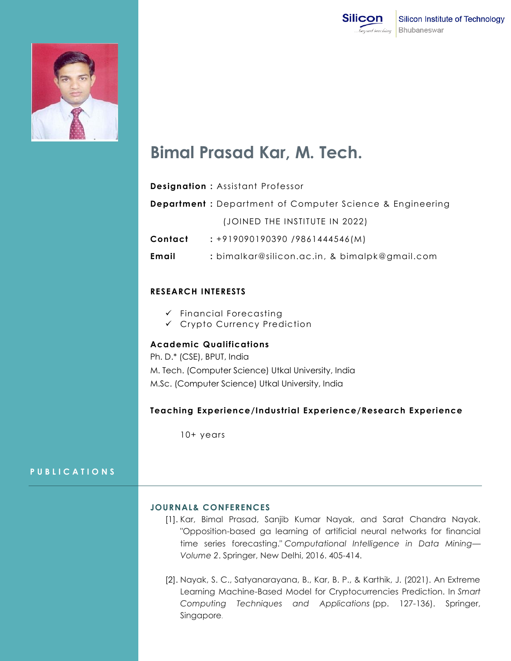



# **Bimal Prasad Kar, M. Tech.**

| <b>Designation: Assistant Professor</b>                          |
|------------------------------------------------------------------|
| <b>Department</b> : Department of Computer Science & Engineering |
| (JOINED THE INSTITUTE IN 2022)                                   |
| $: +919090190390 / 9861444546(M)$                                |
| : bimalkar@silicon.ac.in, & bimalpk@gmail.com                    |
|                                                                  |

### **RESEARCH INTERESTS**

- $\checkmark$  Financial Forecasting
- Crypto Currency Prediction

## **Academic Qualifications**

Ph. D.\* (CSE), BPUT, India M. Tech. (Computer Science) Utkal University, India M.Sc. (Computer Science) Utkal University, India

### **Teaching Experience/Industrial Experience/Research Experience**

10+ years

### **P U B L I C A T I O N S**

#### **JOURNAL& CONFERENCES**

- [1]. Kar, Bimal Prasad, Sanjib Kumar Nayak, and Sarat Chandra Nayak. "Opposition-based ga learning of artificial neural networks for financial time series forecasting." *Computational Intelligence in Data Mining— Volume 2*. Springer, New Delhi, 2016. 405-414.
- [2]. Nayak, S. C., Satyanarayana, B., Kar, B. P., & Karthik, J. (2021). An Extreme Learning Machine-Based Model for Cryptocurrencies Prediction. In *Smart Computing Techniques and Applications* (pp. 127-136). Springer, Singapore.